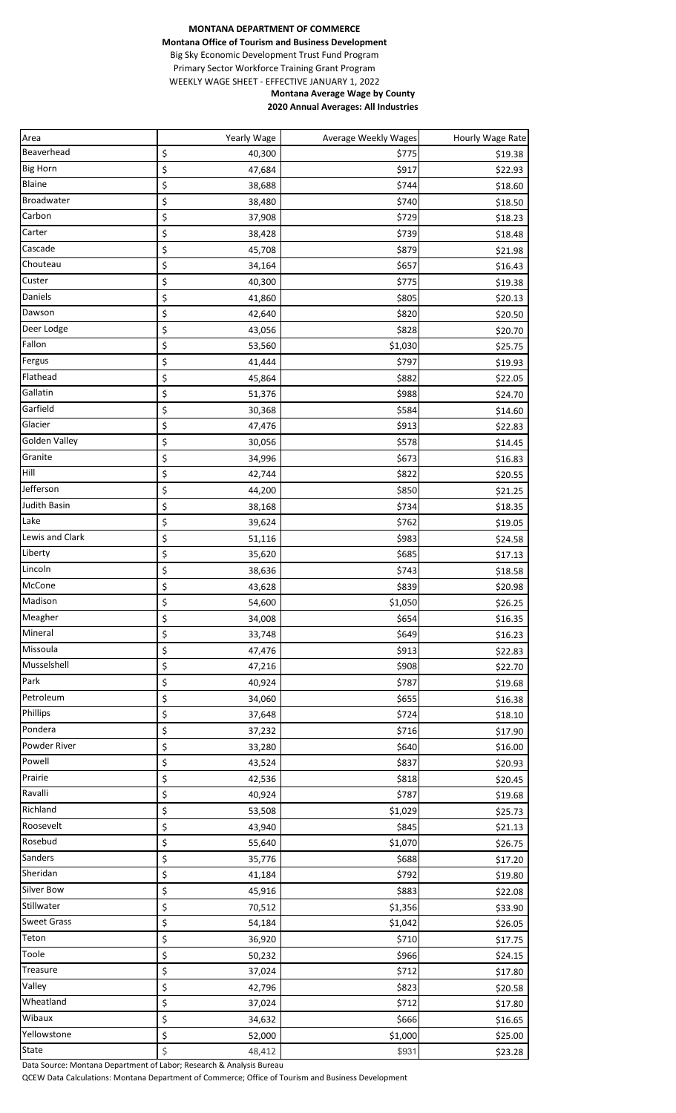## **MONTANA DEPARTMENT OF COMMERCE Montana Office of Tourism and Business Development** Big Sky Economic Development Trust Fund Program Primary Sector Workforce Training Grant Program WEEKLY WAGE SHEET - EFFECTIVE JANUARY 1, 2022 **Montana Average Wage by County 2020 Annual Averages: All Industries**

| Area                 | Yearly Wage                  | Average Weekly Wages | Hourly Wage Rate |
|----------------------|------------------------------|----------------------|------------------|
| Beaverhead           | \$<br>40,300                 | \$775                | \$19.38          |
| <b>Big Horn</b>      | \$<br>47,684                 | \$917                | \$22.93          |
| Blaine               | \$<br>38,688                 | \$744                | \$18.60          |
| Broadwater           | \$<br>38,480                 | \$740                | \$18.50          |
| Carbon               | \$<br>37,908                 | \$729                | \$18.23          |
| Carter               | \$<br>38,428                 | \$739                | \$18.48          |
| Cascade              | \$<br>45,708                 | \$879                | \$21.98          |
| Chouteau             | \$<br>34,164                 | \$657                | \$16.43          |
| Custer               | \$<br>40,300                 | \$775                | \$19.38          |
| Daniels              | \$<br>41,860                 | \$805                | \$20.13          |
| Dawson               | \$<br>42,640                 | \$820                | \$20.50          |
| Deer Lodge           | \$<br>43,056                 | \$828                | \$20.70          |
| Fallon               | \$<br>53,560                 | \$1,030              | \$25.75          |
| Fergus               | \$<br>41,444                 | \$797                | \$19.93          |
| Flathead             | \$<br>45,864                 | \$882                | \$22.05          |
| Gallatin             | \$<br>51,376                 | \$988                | \$24.70          |
| Garfield             | \$<br>30,368                 | \$584                | \$14.60          |
| Glacier              | \$<br>47,476                 | \$913                | \$22.83          |
| <b>Golden Valley</b> | \$<br>30,056                 | \$578                | \$14.45          |
| Granite              | \$<br>34,996                 | \$673                | \$16.83          |
| Hill                 | \$<br>42,744                 | \$822                | \$20.55          |
| Jefferson            | \$<br>44,200                 | \$850                | \$21.25          |
| Judith Basin         | \$<br>38,168                 | \$734                | \$18.35          |
| Lake                 | \$<br>39,624                 | \$762                |                  |
| Lewis and Clark      | \$<br>51,116                 | \$983                | \$19.05          |
| Liberty              | \$                           |                      | \$24.58          |
| Lincoln              | 35,620<br>\$                 | \$685<br>\$743       | \$17.13          |
| McCone               | 38,636<br>\$                 | \$839                | \$18.58          |
| Madison              | 43,628                       |                      | \$20.98          |
| Meagher              | \$<br>54,600<br>\$<br>34,008 | \$1,050<br>\$654     | \$26.25          |
| Mineral              |                              |                      | \$16.35          |
| Missoula             | \$<br>33,748<br>\$           | \$649<br>\$913       | \$16.23          |
| Musselshell          | 47,476                       |                      | \$22.83          |
| Park                 | \$<br>47,216                 | \$908                | \$22.70          |
| Petroleum            | \$<br>40,924                 | \$787                | \$19.68          |
| Phillips             | \$<br>34,060                 | \$655                | \$16.38          |
| Pondera              | \$<br>37,648                 | \$724                | \$18.10          |
|                      | \$<br>37,232                 | \$716                | \$17.90          |
| Powder River         | \$<br>33,280                 | \$640                | \$16.00          |
| Powell               | \$<br>43,524                 | \$837                | \$20.93          |
| Prairie              | \$<br>42,536                 | \$818                | \$20.45          |
| Ravalli              | \$<br>40,924                 | \$787                | \$19.68          |
| Richland             | \$<br>53,508                 | \$1,029              | \$25.73          |
| Roosevelt            | \$<br>43,940                 | \$845                | \$21.13          |
| Rosebud              | \$<br>55,640                 | \$1,070              | \$26.75          |
| Sanders              | \$<br>35,776                 | \$688                | \$17.20          |
| Sheridan             | \$<br>41,184                 | \$792                | \$19.80          |
| Silver Bow           | \$<br>45,916                 | \$883                | \$22.08          |
| Stillwater           | \$<br>70,512                 | \$1,356              | \$33.90          |
| <b>Sweet Grass</b>   | \$<br>54,184                 | \$1,042              | \$26.05          |
| Teton                | \$<br>36,920                 | \$710                | \$17.75          |
| Toole                | \$<br>50,232                 | \$966                | \$24.15          |
| Treasure             | \$<br>37,024                 | \$712                | \$17.80          |
| Valley               | \$<br>42,796                 | \$823                | \$20.58          |
| Wheatland            | \$<br>37,024                 | \$712                | \$17.80          |
| Wibaux               | \$<br>34,632                 | \$666                | \$16.65          |
| Yellowstone          | \$<br>52,000                 | \$1,000              | \$25.00          |
| State                | \$<br>48,412                 | \$931                | \$23.28          |

Data Source: Montana Department of Labor; Research & Analysis Bureau

QCEW Data Calculations: Montana Department of Commerce; Office of Tourism and Business Development